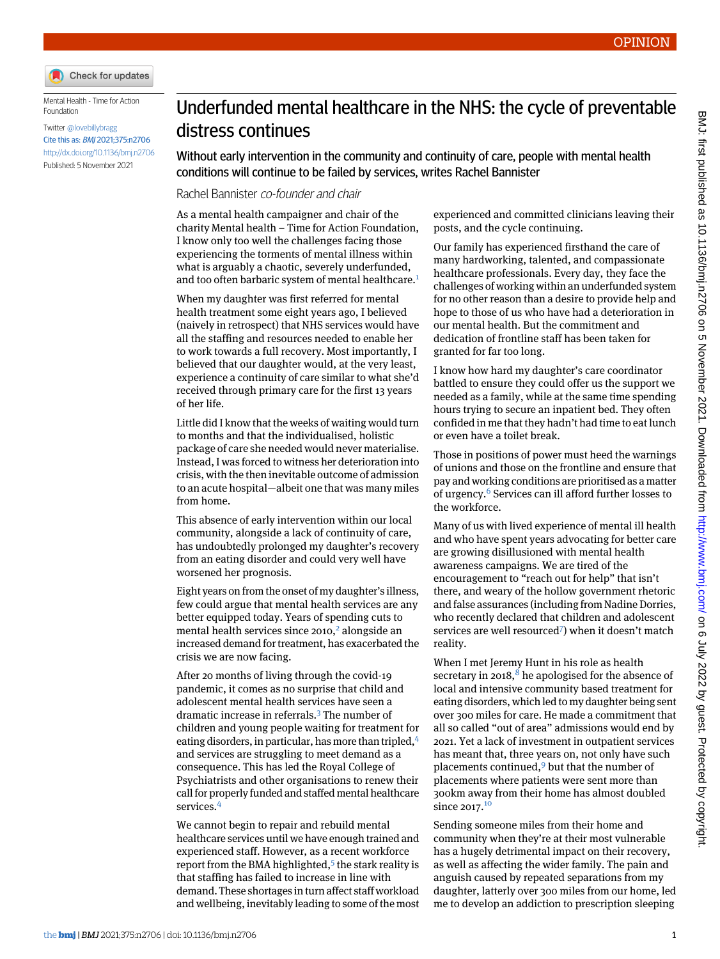

Mental Health - Time for Action Foundation

Twitter [@lovebillybragg](https://twitter.com/lovebillybragg) Cite this as: BMJ 2021;375:n2706 <http://dx.doi.org/10.1136/bmj.n2706> Published: 5 November 2021

## Underfunded mental healthcare in the NHS: the cycle of preventable distress continues

Without early intervention in the community and continuity of care, people with mental health conditions will continue to be failed by services, writes Rachel Bannister

Rachel Bannister co-founder and chair

As a mental health campaigner and chair of the charity Mental health – Time for Action Foundation, I know only too well the challenges facing those experiencing the torments of mental illness within what is arguably a chaotic, severely underfunded, and too often barbaric system of mental healthcare.<sup>[1](#page-1-0)</sup>

When my daughter was first referred for mental health treatment some eight years ago, I believed (naively in retrospect) that NHS services would have all the staffing and resources needed to enable her to work towards a full recovery. Most importantly, I believed that our daughter would, at the very least, experience a continuity of care similar to what she'd received through primary care for the first 13 years of her life.

Little did I know that the weeks of waiting would turn to months and that the individualised, holistic package of care she needed would never materialise. Instead, I was forced to witness her deterioration into crisis, with the then inevitable outcome of admission to an acute hospital—albeit one that was many miles from home.

This absence of early intervention within our local community, alongside a lack of continuity of care, has undoubtedly prolonged my daughter's recovery from an eating disorder and could very well have worsened her prognosis.

Eight years on from the onset of my daughter's illness, few could argue that mental health services are any better equipped today. Years of spending cuts to mental health services since  $2010<sup>2</sup>$  $2010<sup>2</sup>$  alongside an increased demand for treatment, has exacerbated the crisis we are now facing.

After 20 months of living through the covid-19 pandemic, it comes as no surprise that child and adolescent mental health services have seen a dramatic increase in referrals.<sup>[3](#page-1-2)</sup> The number of children and young people waiting for treatment for eating disorders, in particular, has more than tripled, [4](#page-1-3) and services are struggling to meet demand as a consequence. This has led the Royal College of Psychiatrists and other organisations to renew their call for properly funded and staffed mental healthcare services.[4](#page-1-3)

We cannot begin to repair and rebuild mental healthcare services until we have enough trained and experienced staff. However, as a recent workforce report from the BMA highlighted,<sup>[5](#page-1-4)</sup> the stark reality is that staffing has failed to increase in line with demand. These shortages in turn affect staff workload and wellbeing, inevitably leading to some of the most

experienced and committed clinicians leaving their posts, and the cycle continuing.

Our family has experienced firsthand the care of many hardworking, talented, and compassionate healthcare professionals. Every day, they face the challenges of working within an underfunded system for no other reason than a desire to provide help and hope to those of us who have had a deterioration in our mental health. But the commitment and dedication of frontline staff has been taken for granted for far too long.

I know how hard my daughter's care coordinator battled to ensure they could offer us the support we needed as a family, while at the same time spending hours trying to secure an inpatient bed. They often confided in me that they hadn't had time to eat lunch or even have a toilet break.

Those in positions of power must heed the warnings of unions and those on the frontline and ensure that pay and working conditions are prioritised as a matter of urgency.[6](#page-1-5) Services can ill afford further losses to the workforce.

Many of us with lived experience of mental ill health and who have spent years advocating for better care are growing disillusioned with mental health awareness campaigns. We are tired of the encouragement to "reach out for help" that isn't there, and weary of the hollow government rhetoric and false assurances (including from Nadine Dorries, who recently declared that children and adolescent services are well resourced<sup>[7](#page-1-6)</sup>) when it doesn't match reality.

When I met Jeremy Hunt in his role as health secretary in 201[8](#page-1-7),<sup>8</sup> he apologised for the absence of local and intensive community based treatment for eating disorders, which led to my daughter being sent over 300 miles for care. He made a commitment that all so called "out of area" admissions would end by 2021. Yet a lack of investment in outpatient services has meant that, three years on, not only have such placements continued, $9$  but that the number of placements where patients were sent more than 300km away from their home has almost doubled since 2017.<sup>[10](#page-1-9)</sup>

Sending someone miles from their home and community when they're at their most vulnerable has a hugely detrimental impact on their recovery, as well as affecting the wider family. The pain and anguish caused by repeated separations from my daughter, latterly over 300 miles from our home, led me to develop an addiction to prescription sleeping